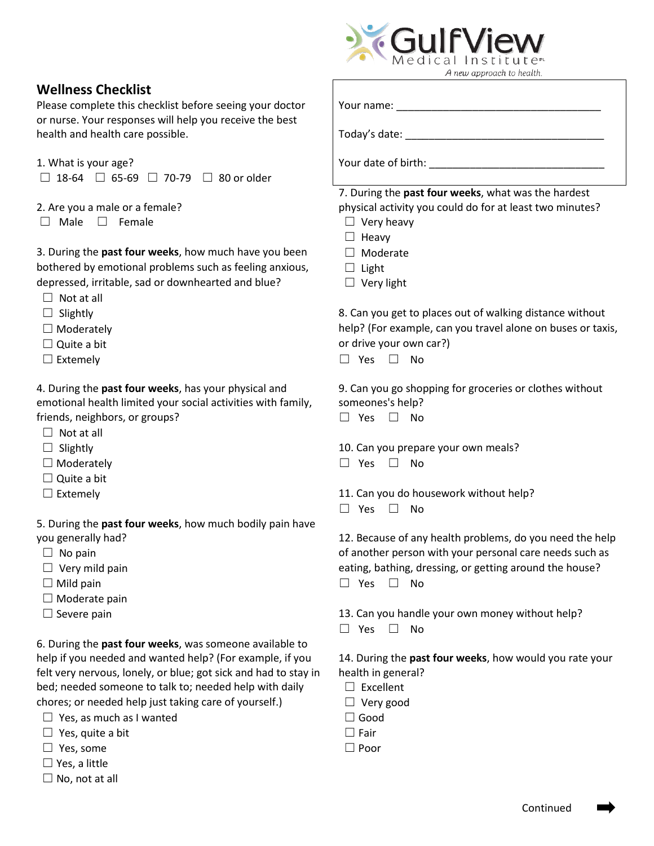

## **Wellness Checklist**

Please complete this checklist before seeing your doctor Your name: \_\_\_\_\_\_\_\_\_\_\_\_\_\_\_\_\_\_\_\_\_\_\_\_\_\_\_\_\_\_\_\_\_\_\_ or nurse. Your responses will help you receive the best health and health care possible. The same state: \_\_\_\_\_\_\_\_\_\_\_\_\_\_\_\_\_\_\_\_\_\_\_\_\_\_\_\_\_\_\_

- 1. What is your age? Your date of birth: Letter and the state of birth: Letter and the state of birth: Letter and the state of birth: Letter and the state of birth: Letter and the state of birth: Letter and the state of bi
- ☐ 18-64 ☐ 65-69 ☐ 70-79 ☐ 80 or older
- 2. Are you a male or a female? physical activity you could do for at least two minutes?
- ☐ Male ☐ Female ☐ Very heavy

3. During the **past four weeks**, how much have you been □ Moderate bothered by emotional problems such as feeling anxious,  $\Box$  Light depressed, irritable, sad or downhearted and blue?  $□$  Very light

- $\Box$  Not at all
- 
- 
- 
- 

4. During the **past four weeks**, has your physical and 9. Can you go shopping for groceries or clothes without emotional health limited your social activities with family, someones's help? friends, neighbors, or groups? ☐ Yes ☐ No

- $\Box$  Not at all
- 
- 
- $\Box$  Quite a bit
- 

5. During the **past four weeks**, how much bodily pain have you generally had? 12. Because of any health problems, do you need the help

- 
- 
- 
- □ Moderate pain
- 

6. During the **past four weeks**, was someone available to help if you needed and wanted help? (For example, if you 14. During the **past four weeks**, how would you rate your felt very nervous, lonely, or blue; got sick and had to stay in health in general? bed; needed someone to talk to; needed help with daily  $□$  Excellent chores; or needed help just taking care of yourself.)  $\Box$  Very good

- ☐ Yes, as much as I wanted ☐ Good
- ☐ Yes, quite a bit ☐ Fair
- $□$  Yes, some  $□$  Poor
- $\Box$  Yes, a little
- $\Box$  No, not at all

7. During the **past four weeks**, what was the hardest

- 
- ☐ Heavy
- 
- 
- 

 $\Box$  Slightly  $\Box$  Slightly  $\Box$  Slightly ☐ Moderately help? (For example, can you travel alone on buses or taxis, □ Quite a bit or drive your own car?)

☐ Extemely ☐ Yes ☐ No

- 
- ☐ Slightly 10.Can you prepare your own meals?
- ☐ Moderately ☐ Yes ☐ No
- ☐ Extemely 11. Can you do housework without help?
	- ☐ Yes ☐ No

 ☐ No pain of another person with your personal care needs such as □ Very mild pain **eating, bathing, dressing, or getting around the house**? ☐ Mild pain ☐ Yes ☐ No

- $\Box$  Severe pain 13. Can you handle your own money without help?
	- ☐ Yes ☐ No

- 
- 
- 
- 
-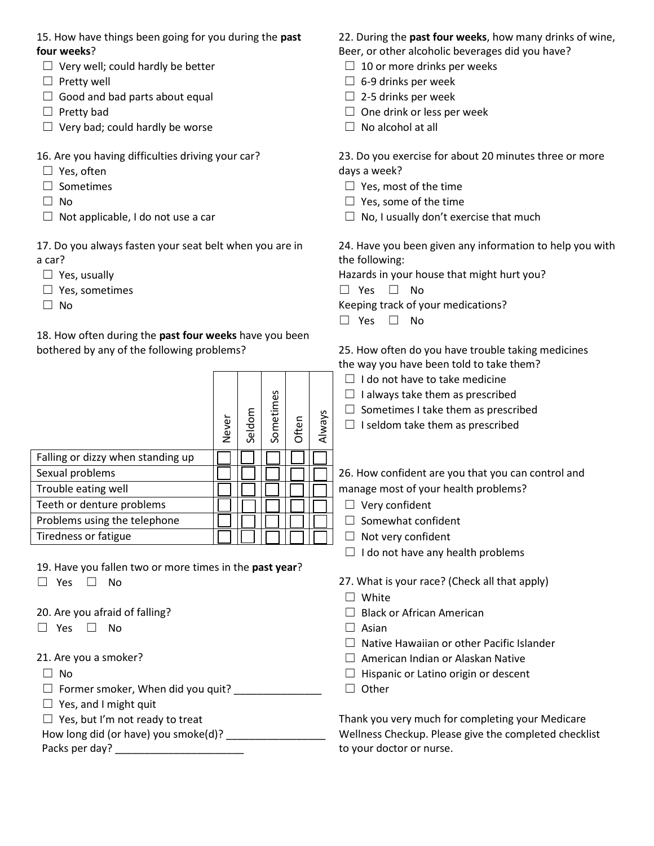## **four weeks**? **but weeks have** been, or other alcoholic beverages did you have?

- $\Box$  Very well; could hardly be better  $\Box$  10 or more drinks per weeks
- 
- □ Good and bad parts about equal  $□$   $□$  2-5 drinks per week
- 
- ☐ Very bad; could hardly be worse ☐ No alcohol at all
- 
- □ Yes, often days a week?
- 
- 
- 

a car? the following:

- 
- ☐ Yes, sometimes ☐ Yes ☐ No
- 

18. How often during the **past four weeks** have you been bothered by any of the following problems? 25. How often do you have trouble taking medicines

|                                   | Never | Seldom | Sometimes | Often | Always |
|-----------------------------------|-------|--------|-----------|-------|--------|
| Falling or dizzy when standing up |       |        |           |       |        |
| Sexual problems                   |       |        |           |       |        |
| Trouble eating well               |       |        |           |       |        |
| Teeth or denture problems         |       |        |           |       |        |
| Problems using the telephone      |       |        |           |       |        |
| Tiredness or fatigue              |       |        |           |       |        |

19. Have you fallen two or more times in the **past year**?

- 
- $□$  Yes  $□$  No  $□$  Asian
- 
- 

☐ Former smoker, When did you quit? \_\_\_\_\_\_\_\_\_\_\_\_\_\_\_ ☐ Other

 $\Box$  Yes, and I might quit

15. How have things been going for you during the **past** 22. During the **past four weeks**, how many drinks of wine,

- 
- $\Box$  Pretty well  $\Box$  6-9 drinks per week
	-
- ☐ Pretty bad ☐ One drink or less per week
	-

16. Are you having difficulties driving your car? 23. Do you exercise for about 20 minutes three or more

- ☐ Sometimes ☐ Yes, most of the time
- $\Box$  No  $\Box$  Yes, some of the time
- ☐ Not applicable, I do not use a car ☐ No, I usually don't exercise that much

17. Do you always fasten your seat belt when you are in 24. Have you been given any information to help you with

□ Yes, usually **Hazards in your house that might hurt you?** 

□ No and the set of the set of the Keeping track of your medications?

☐ Yes ☐ No

the way you have been told to take them?

- $\Box$  I do not have to take medicine
- $\Box$  I always take them as prescribed
- $\Box$  Sometimes I take them as prescribed
- $\Box$  I seldom take them as prescribed

26. How confident are you that you can control and manage most of your health problems?

- $\Box$  Very confident
- □ Somewhat confident
- □ Not very confident
- $\Box$  I do not have any health problems
- ☐ Yes ☐ No 27. What is your race? (Check all that apply)
	- ☐ White
- 20. Are you afraid of falling? ■ ■ ■ Black or African American
	-
	- $\Box$  Native Hawaiian or other Pacific Islander
- 21. Are you a smoker? ☐ American Indian or Alaskan Native
- ☐ No ☐ Hispanic or Latino origin or descent
	-

 $\Box$  Yes, but I'm not ready to treat  $\Box$  Thank you very much for completing your Medicare How long did (or have) you smoke(d)? \_\_\_\_\_\_\_\_\_\_\_\_\_\_\_\_\_\_\_\_\_\_\_\_\_Wellness Checkup. Please give the completed checklist Packs per day? \_\_\_\_\_\_\_\_\_\_\_\_\_\_\_\_\_\_\_\_\_\_ to your doctor or nurse.